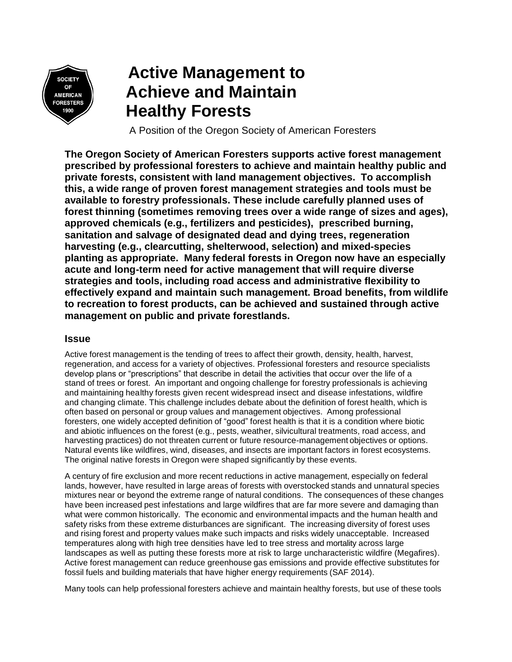

## **Active Management to Achieve and Maintain Healthy Forests**

A Position of the Oregon Society of American Foresters

**The Oregon Society of American Foresters supports active forest management prescribed by professional foresters to achieve and maintain healthy public and private forests, consistent with land management objectives. To accomplish this, a wide range of proven forest management strategies and tools must be available to forestry professionals. These include carefully planned uses of forest thinning (sometimes removing trees over a wide range of sizes and ages), approved chemicals (e.g., fertilizers and pesticides), prescribed burning, sanitation and salvage of designated dead and dying trees, regeneration harvesting (e.g., clearcutting, shelterwood, selection) and mixed-species planting as appropriate. Many federal forests in Oregon now have an especially acute and long-term need for active management that will require diverse strategies and tools, including road access and administrative flexibility to effectively expand and maintain such management. Broad benefits, from wildlife to recreation to forest products, can be achieved and sustained through active management on public and private forestlands.**

## **Issue**

Active forest management is the tending of trees to affect their growth, density, health, harvest, regeneration, and access for a variety of objectives. Professional foresters and resource specialists develop plans or "prescriptions" that describe in detail the activities that occur over the life of a stand of trees or forest. An important and ongoing challenge for forestry professionals is achieving and maintaining healthy forests given recent widespread insect and disease infestations, wildfire and changing climate. This challenge includes debate about the definition of forest health, which is often based on personal or group values and management objectives. Among professional foresters, one widely accepted definition of "good" forest health is that it is a condition where biotic and abiotic influences on the forest (e.g., pests, weather, silvicultural treatments, road access, and harvesting practices) do not threaten current or future resource-management objectives or options. Natural events like wildfires, wind, diseases, and insects are important factors in forest ecosystems. The original native forests in Oregon were shaped significantly by these events.

A century of fire exclusion and more recent reductions in active management, especially on federal lands, however, have resulted in large areas of forests with overstocked stands and unnatural species mixtures near or beyond the extreme range of natural conditions. The consequences of these changes have been increased pest infestations and large wildfires that are far more severe and damaging than what were common historically. The economic and environmental impacts and the human health and safety risks from these extreme disturbances are significant. The increasing diversity of forest uses and rising forest and property values make such impacts and risks widely unacceptable. Increased temperatures along with high tree densities have led to tree stress and mortality across large landscapes as well as putting these forests more at risk to large uncharacteristic wildfire (Megafires). Active forest management can reduce greenhouse gas emissions and provide effective substitutes for fossil fuels and building materials that have higher energy requirements (SAF 2014).

Many tools can help professional foresters achieve and maintain healthy forests, but use of these tools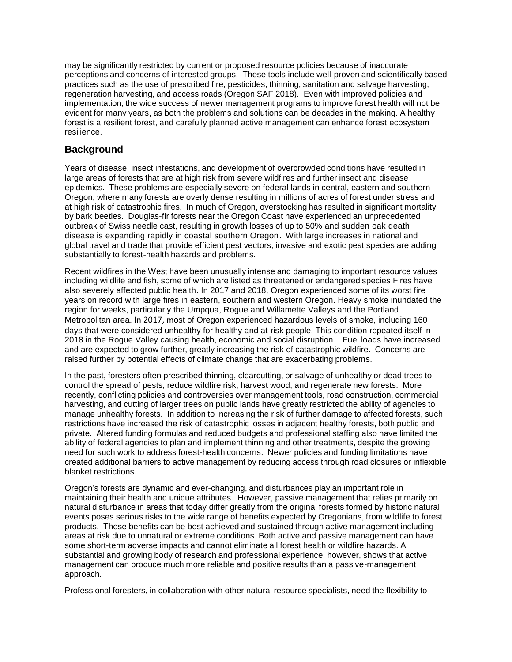may be significantly restricted by current or proposed resource policies because of inaccurate perceptions and concerns of interested groups. These tools include well-proven and scientifically based practices such as the use of prescribed fire, pesticides, thinning, sanitation and salvage harvesting, regeneration harvesting, and access roads (Oregon SAF 2018). Even with improved policies and implementation, the wide success of newer management programs to improve forest health will not be evident for many years, as both the problems and solutions can be decades in the making. A healthy forest is a resilient forest, and carefully planned active management can enhance forest ecosystem resilience.

## **Background**

Years of disease, insect infestations, and development of overcrowded conditions have resulted in large areas of forests that are at high risk from severe wildfires and further insect and disease epidemics. These problems are especially severe on federal lands in central, eastern and southern Oregon, where many forests are overly dense resulting in millions of acres of forest under stress and at high risk of catastrophic fires. In much of Oregon, overstocking has resulted in significant mortality by bark beetles. Douglas-fir forests near the Oregon Coast have experienced an unprecedented outbreak of Swiss needle cast, resulting in growth losses of up to 50% and sudden oak death disease is expanding rapidly in coastal southern Oregon. With large increases in national and global travel and trade that provide efficient pest vectors, invasive and exotic pest species are adding substantially to forest-health hazards and problems.

Recent wildfires in the West have been unusually intense and damaging to important resource values including wildlife and fish, some of which are listed as threatened or endangered species Fires have also severely affected public health. In 2017 and 2018, Oregon experienced some of its worst fire years on record with large fires in eastern, southern and western Oregon. Heavy smoke inundated the region for weeks, particularly the Umpqua, Rogue and Willamette Valleys and the Portland Metropolitan area. In 2017, most of Oregon experienced hazardous levels of smoke, including 160 days that were considered unhealthy for healthy and at-risk people. This condition repeated itself in 2018 in the Rogue Valley causing health, economic and social disruption. Fuel loads have increased and are expected to grow further, greatly increasing the risk of catastrophic wildfire. Concerns are raised further by potential effects of climate change that are exacerbating problems.

In the past, foresters often prescribed thinning, clearcutting, or salvage of unhealthy or dead trees to control the spread of pests, reduce wildfire risk, harvest wood, and regenerate new forests. More recently, conflicting policies and controversies over management tools, road construction, commercial harvesting, and cutting of larger trees on public lands have greatly restricted the ability of agencies to manage unhealthy forests. In addition to increasing the risk of further damage to affected forests, such restrictions have increased the risk of catastrophic losses in adjacent healthy forests, both public and private. Altered funding formulas and reduced budgets and professional staffing also have limited the ability of federal agencies to plan and implement thinning and other treatments, despite the growing need for such work to address forest-health concerns. Newer policies and funding limitations have created additional barriers to active management by reducing access through road closures or inflexible blanket restrictions.

Oregon's forests are dynamic and ever-changing, and disturbances play an important role in maintaining their health and unique attributes. However, passive management that relies primarily on natural disturbance in areas that today differ greatly from the original forests formed by historic natural events poses serious risks to the wide range of benefits expected by Oregonians, from wildlife to forest products. These benefits can be best achieved and sustained through active management including areas at risk due to unnatural or extreme conditions. Both active and passive management can have some short-term adverse impacts and cannot eliminate all forest health or wildfire hazards. A substantial and growing body of research and professional experience, however, shows that active management can produce much more reliable and positive results than a passive-management approach.

Professional foresters, in collaboration with other natural resource specialists, need the flexibility to